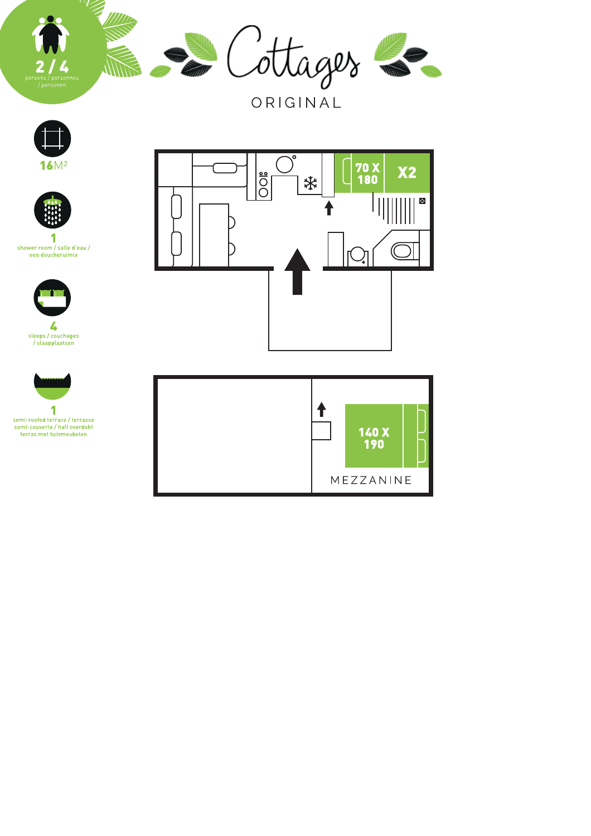

ORIGINAL











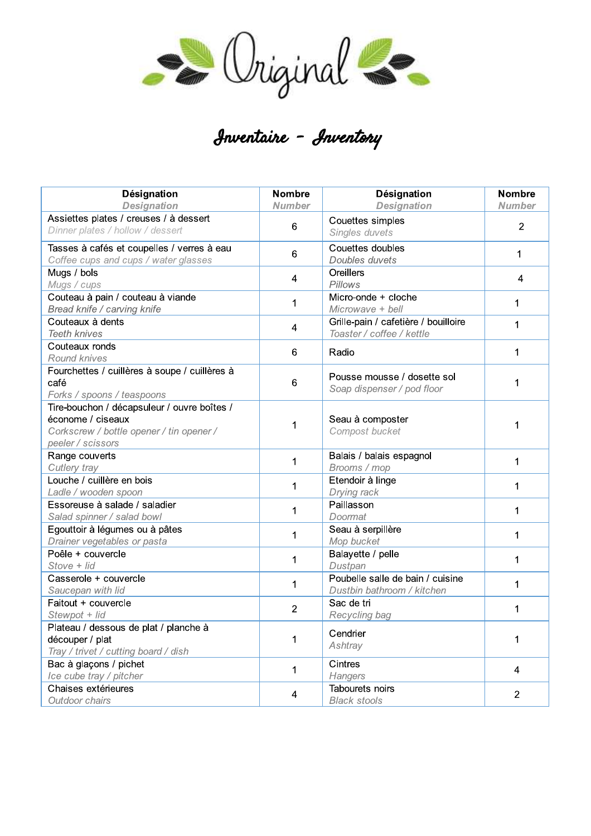

## Inventaire - Inventory

| Désignation                                                                | <b>Nombre</b>  | Désignation                            | <b>Nombre</b>  |
|----------------------------------------------------------------------------|----------------|----------------------------------------|----------------|
| <b>Designation</b>                                                         | <b>Number</b>  | <b>Designation</b>                     | <b>Number</b>  |
| Assiettes plates / creuses / à dessert<br>Dinner plates / hollow / dessert | 6              | Couettes simples<br>Singles duvets     | $\overline{2}$ |
| Tasses à cafés et coupelles / verres à eau                                 | 6              | Couettes doubles                       | 1              |
| Coffee cups and cups / water glasses                                       |                | Doubles duvets                         |                |
| Mugs / bols                                                                | 4              | Oreillers                              | 4              |
| Mugs / cups                                                                |                | Pillows                                |                |
| Couteau à pain / couteau à viande                                          | 1              | Micro-onde + cloche                    | 1              |
| Bread knife / carving knife                                                |                | Microwave + bell                       |                |
| Couteaux à dents                                                           | 4              | Grille-pain / cafetière / bouilloire   | 1              |
| <b>Teeth knives</b>                                                        |                | Toaster / coffee / kettle              |                |
| Couteaux ronds                                                             | 6              | Radio                                  | 1              |
| Round knives                                                               |                |                                        |                |
| Fourchettes / cuillères à soupe / cuillères à                              |                | Pousse mousse / dosette sol            |                |
| café                                                                       | 6              | Soap dispenser / pod floor             | 1              |
| Forks / spoons / teaspoons                                                 |                |                                        |                |
| Tire-bouchon / décapsuleur / ouvre boîtes /                                |                |                                        |                |
| économe / ciseaux                                                          | 1              | Seau à composter                       | 1              |
| Corkscrew / bottle opener / tin opener /                                   |                | Compost bucket                         |                |
| peeler / scissors                                                          |                |                                        |                |
| Range couverts                                                             | 1              | Balais / balais espagnol               | 1              |
| Cutlery tray                                                               |                | Brooms / mop                           |                |
| Louche / cuillère en bois                                                  | 1              | Etendoir à linge                       | 1              |
| Ladle / wooden spoon                                                       |                | Drying rack                            |                |
| Essoreuse à salade / saladier                                              | 1              | Paillasson                             | 1              |
| Salad spinner / salad bowl                                                 |                | Doormat                                |                |
| Egouttoir à légumes ou à pâtes                                             | 1              | Seau à serpillère                      | 1              |
| Drainer vegetables or pasta                                                |                | Mop bucket                             |                |
| Poêle + couvercle                                                          | 1              | Balayette / pelle                      | 1              |
| Stove + lid                                                                |                | Dustpan                                |                |
| Casserole + couvercle                                                      | 1              | Poubelle salle de bain / cuisine       | 1              |
| Saucepan with lid                                                          |                | Dustbin bathroom / kitchen             |                |
| Faitout + couvercle                                                        | $\overline{2}$ | Sac de tri                             | 1              |
| Stewpot + lid                                                              |                | Recycling bag                          |                |
| Plateau / dessous de plat / planche à                                      | 1              | Cendrier                               |                |
| découper / plat                                                            |                | Ashtray                                | 1              |
| Tray / trivet / cutting board / dish                                       |                |                                        |                |
| Bac à glaçons / pichet                                                     | 1              | Cintres                                | 4              |
| Ice cube tray / pitcher                                                    |                | Hangers                                |                |
| Chaises extérieures                                                        | 4              | Tabourets noirs<br><b>Black stools</b> | $\overline{2}$ |
| Outdoor chairs                                                             |                |                                        |                |